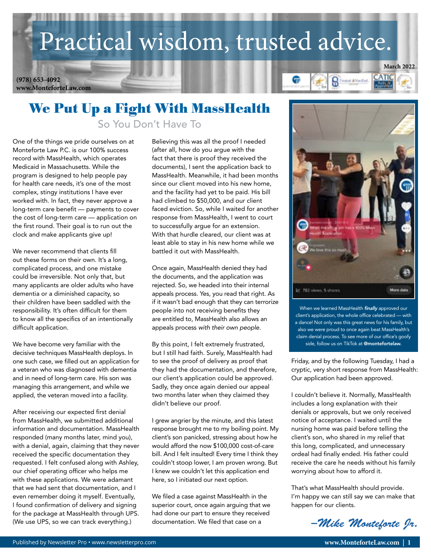# Practical wisdom, trusted advice.

**www.MonteforteLaw.com (978) 653-4092**



### We Put Up a Fight With MassHealth So You Don't Have To

One of the things we pride ourselves on at Monteforte Law P.C. is our 100% success record with MassHealth, which operates Medicaid in Massachusetts. While the program is designed to help people pay for health care needs, it's one of the most complex, stingy institutions I have ever worked with. In fact, they never approve a long-term care benefit — payments to cover the cost of long-term care — application on the first round. Their goal is to run out the clock and make applicants give up!

We never recommend that clients fill out these forms on their own. It's a long, complicated process, and one mistake could be irreversible. Not only that, but many applicants are older adults who have dementia or a diminished capacity, so their children have been saddled with the responsibility. It's often difficult for them to know all the specifics of an intentionally difficult application.

We have become very familiar with the decisive techniques MassHealth deploys. In one such case, we filled out an application for a veteran who was diagnosed with dementia and in need of long-term care. His son was managing this arrangement, and while we applied, the veteran moved into a facility.

After receiving our expected first denial from MassHealth, we submitted additional information and documentation. MassHealth responded (many months later, mind you), with a denial, again, claiming that they never received the specific documentation they requested. I felt confused along with Ashley, our chief operating officer who helps me with these applications. We were adamant that we had sent that documentation, and I even remember doing it myself. Eventually, I found confirmation of delivery and signing for the package at MassHealth through UPS. (We use UPS, so we can track everything.)

Believing this was all the proof I needed (after all, how do you argue with the fact that there is proof they received the documents), I sent the application back to MassHealth. Meanwhile, it had been months since our client moved into his new home, and the facility had yet to be paid. His bill had climbed to \$50,000, and our client faced eviction. So, while I waited for another response from MassHealth, I went to court to successfully argue for an extension. With that hurdle cleared, our client was at least able to stay in his new home while we battled it out with MassHealth.

Once again, MassHealth denied they had the documents, and the application was rejected. So, we headed into their internal appeals process. Yes, you read that right. As if it wasn't bad enough that they can terrorize people into not receiving benefits they are entitled to, MassHealth also allows an appeals process *with their own people.* 

By this point, I felt extremely frustrated, but I still had faith. Surely, MassHealth had to see the proof of delivery as proof that they had the documentation, and therefore, our client's application could be approved. Sadly, they once again denied our appeal two months later when they claimed they didn't believe our proof.

I grew angrier by the minute, and this latest response brought me to my boiling point. My client's son panicked, stressing about how he would afford the now \$100,000 cost-of-care bill. And I felt insulted! Every time I think they couldn't stoop lower, I am proven wrong. But I knew we couldn't let this application end here, so I initiated our next option.

We filed a case against MassHealth in the superior court, once again arguing that we had done our part to ensure they received documentation. We filed that case on a



When we learned MassHealth *finally* approved our client's application, the whole office celebrated — with a dance! Not only was this great news for his family, but also we were proud to once again beat MassHealth's claim denial process. To see more of our office's goofy side, follow us on TikTok at @montefortelaw.

Friday, and by the following Tuesday, I had a cryptic, very short response from MassHealth: Our application had been approved.

I couldn't believe it. Normally, MassHealth includes a long explanation with their denials or approvals, but we only received notice of acceptance. I waited until the nursing home was paid before telling the client's son, who shared in my relief that this long, complicated, and unnecessary ordeal had finally ended. His father could receive the care he needs without his family worrying about how to afford it.

That's what MassHealth should provide. I'm happy we can still say we can make that happen for our clients.

*–Mike Monteforte Jr.*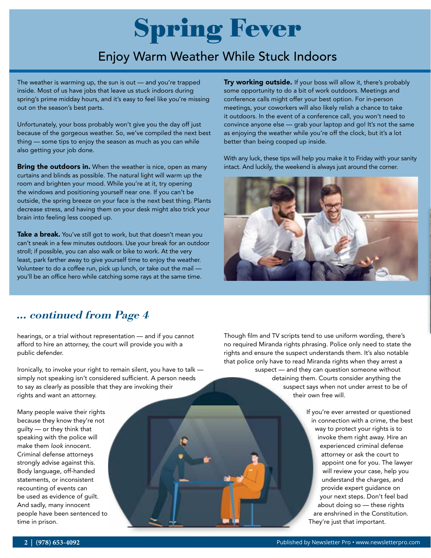# Spring Fever

### Enjoy Warm Weather While Stuck Indoors

The weather is warming up, the sun is out — and you're trapped inside. Most of us have jobs that leave us stuck indoors during spring's prime midday hours, and it's easy to feel like you're missing out on the season's best parts.

Unfortunately, your boss probably won't give you the day off just because of the gorgeous weather. So, we've compiled the next best thing — some tips to enjoy the season as much as you can while also getting your job done.

**Bring the outdoors in.** When the weather is nice, open as many curtains and blinds as possible. The natural light will warm up the room and brighten your mood. While you're at it, try opening the windows and positioning yourself near one. If you can't be outside, the spring breeze on your face is the next best thing. Plants decrease stress, and having them on your desk might also trick your brain into feeling less cooped up.

Take a break. You've still got to work, but that doesn't mean you can't sneak in a few minutes outdoors. Use your break for an outdoor stroll; if possible, you can also walk or bike to work. At the very least, park farther away to give yourself time to enjoy the weather. Volunteer to do a coffee run, pick up lunch, or take out the mail you'll be an office hero while catching some rays at the same time.

Try working outside. If your boss will allow it, there's probably some opportunity to do a bit of work outdoors. Meetings and conference calls might offer your best option. For in-person meetings, your coworkers will also likely relish a chance to take it outdoors. In the event of a conference call, you won't need to convince anyone else — grab your laptop and go! It's not the same as enjoying the weather while you're off the clock, but it's a lot better than being cooped up inside.

With any luck, these tips will help you make it to Friday with your sanity intact. And luckily, the weekend is always just around the corner.



#### ... continued from Page 4

hearings, or a trial without representation — and if you cannot afford to hire an attorney, the court will provide you with a public defender.

Ironically, to invoke your right to remain silent, you have to talk simply not speaking isn't considered sufficient. A person needs to say as clearly as possible that they are invoking their rights and want an attorney.

Many people waive their rights because they know they're not guilty — or they think that speaking with the police will make them *look* innocent. Criminal defense attorneys strongly advise against this. Body language, off-handed statements, or inconsistent recounting of events can be used as evidence of guilt. And sadly, many innocent people have been sentenced to time in prison.

Though film and TV scripts tend to use uniform wording, there's no required Miranda rights phrasing. Police only need to state the rights and ensure the suspect understands them. It's also notable that police only have to read Miranda rights when they arrest a suspect — and they can question someone without detaining them. Courts consider anything the suspect says when not under arrest to be of their own free will.

> If you're ever arrested or questioned in connection with a crime, the best way to protect your rights is to invoke them right away. Hire an experienced criminal defense attorney or ask the court to appoint one for you. The lawyer will review your case, help you understand the charges, and provide expert guidance on your next steps. Don't feel bad about doing so — these rights are enshrined in the Constitution. They're just that important.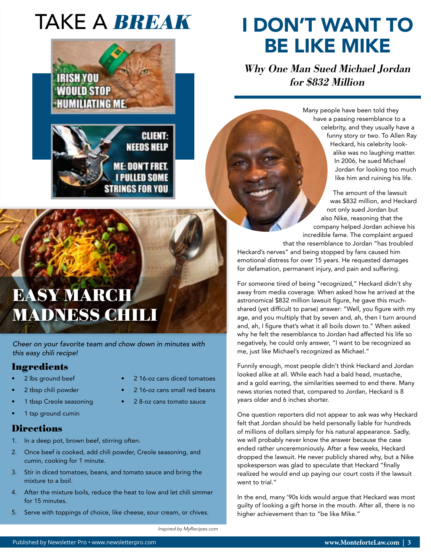# TAKE A **BREAK**



### EASY MARCH MADNESS CHILI

*Cheer on your favorite team and chow down in minutes with this easy chili recipe!*

#### **Ingredients**

- 2 lbs ground beef
- 2 tbsp chili powder
- 1 tbsp Creole seasoning
- 1 tsp ground cumin

#### **Directions**

- 1. In a deep pot, brown beef, stirring often.
- 2. Once beef is cooked, add chili powder, Creole seasoning, and cumin, cooking for 1 minute.
- 3. Stir in diced tomatoes, beans, and tomato sauce and bring the mixture to a boil.
- 4. After the mixture boils, reduce the heat to low and let chili simmer for 15 minutes.
- 5. Serve with toppings of choice, like cheese, sour cream, or chives.

## I DON'T WANT TO BE LIKE MIKE

Why One Man Sued Michael Jordan for \$832 Million

> Many people have been told they have a passing resemblance to a celebrity, and they usually have a funny story or two. To Allen Ray Heckard, his celebrity lookalike was no laughing matter. In 2006, he sued Michael Jordan for looking too much like him and ruining his life.

The amount of the lawsuit was \$832 million, and Heckard not only sued Jordan but also Nike, reasoning that the company helped Jordan achieve his incredible fame. The complaint argued that the resemblance to Jordan "has troubled

Heckard's nerves" and being stopped by fans caused him emotional distress for over 15 years. He requested damages for defamation, permanent injury, and pain and suffering.

For someone tired of being "recognized," Heckard didn't shy away from media coverage. When asked how he arrived at the astronomical \$832 million lawsuit figure, he gave this muchshared (yet difficult to parse) answer: "Well, you figure with my age, and you multiply that by seven and, ah, then I turn around and, ah, I figure that's what it all boils down to." When asked why he felt the resemblance to Jordan had affected his life so negatively, he could only answer, "I want to be recognized as me, just like Michael's recognized as Michael."

Funnily enough, most people didn't think Heckard and Jordan looked alike at all. While each had a bald head, mustache, and a gold earring, the similarities seemed to end there. Many news stories noted that, compared to Jordan, Heckard is 8 years older and 6 inches shorter.

One question reporters did not appear to ask was why Heckard felt that Jordan should be held personally liable for hundreds of millions of dollars simply for his natural appearance. Sadly, we will probably never know the answer because the case ended rather unceremoniously. After a few weeks, Heckard dropped the lawsuit. He never publicly shared why, but a Nike spokesperson was glad to speculate that Heckard "finally realized he would end up paying our court costs if the lawsuit went to trial."

In the end, many '90s kids would argue that Heckard was most guilty of looking a gift horse in the mouth. After all, there is no higher achievement than to "be like Mike."

*Inspired by MyRecipes.com*

• 2 16-oz cans diced tomatoes • 2 16-oz cans small red beans • 2 8-oz cans tomato sauce